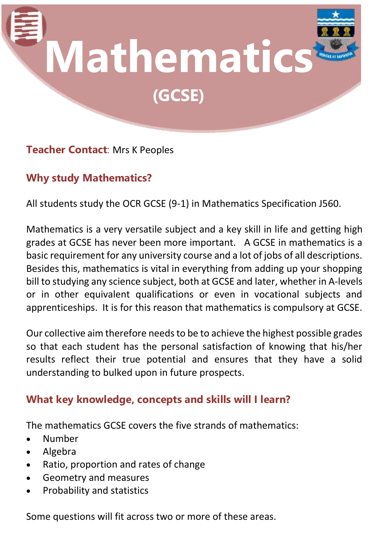

## **Teacher Contact**: Mrs K Peoples

# **Why study Mathematics?**

All students study the OCR GCSE (9-1) in Mathematics Specification J560.

Mathematics is a very versatile subject and a key skill in life and getting high grades at GCSE has never been more important. A GCSE in mathematics is a basic requirement for any university course and a lot of jobs of all descriptions. Besides this, mathematics is vital in everything from adding up your shopping bill to studying any science subject, both at GCSE and later, whether in A-levels or in other equivalent qualifications or even in vocational subjects and apprenticeships. It is for this reason that mathematics is compulsory at GCSE.

Our collective aim therefore needs to be to achieve the highest possible grades so that each student has the personal satisfaction of knowing that his/her results reflect their true potential and ensures that they have a solid understanding to bulked upon in future prospects.

## **What key knowledge, concepts and skills will I learn?**

The mathematics GCSE covers the five strands of mathematics:

- Number
- Algebra
- Ratio, proportion and rates of change
- Geometry and measures
- Probability and statistics

Some questions will fit across two or more of these areas.